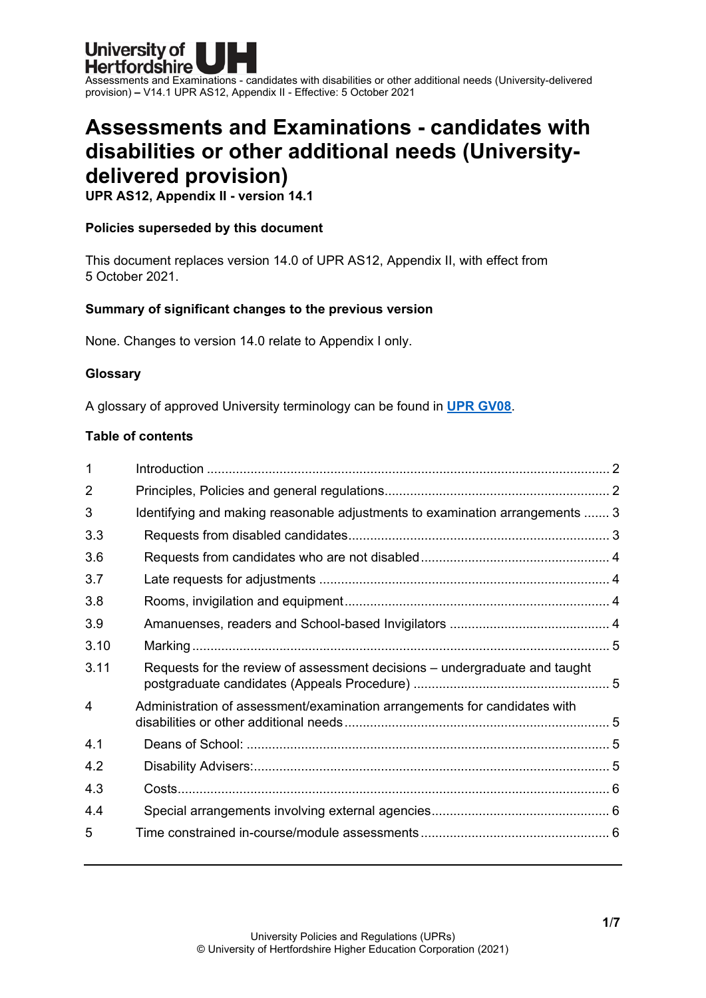

# **Assessments and Examinations - candidates with disabilities or other additional needs (Universitydelivered provision)**

**UPR AS12, Appendix II - version 14.1**

#### **Policies superseded by this document**

This document replaces version 14.0 of UPR AS12, Appendix II, with effect from 5 October 2021.

### **Summary of significant changes to the previous version**

None. Changes to version 14.0 relate to Appendix I only.

#### **Glossary**

A glossary of approved University terminology can be found in **[UPR GV08](https://www.herts.ac.uk/__data/assets/pdf_file/0020/233057/GV08-Glossary-of-Terminology.pdf)**.

#### **Table of contents**

| 1    |                                                                              |  |
|------|------------------------------------------------------------------------------|--|
| 2    |                                                                              |  |
| 3    | Identifying and making reasonable adjustments to examination arrangements  3 |  |
| 3.3  |                                                                              |  |
| 3.6  |                                                                              |  |
| 3.7  |                                                                              |  |
| 3.8  |                                                                              |  |
| 3.9  |                                                                              |  |
| 3.10 |                                                                              |  |
| 3.11 | Requests for the review of assessment decisions - undergraduate and taught   |  |
| 4    | Administration of assessment/examination arrangements for candidates with    |  |
| 4.1  |                                                                              |  |
| 4.2  |                                                                              |  |
| 4.3  |                                                                              |  |
| 4.4  |                                                                              |  |
| 5    |                                                                              |  |
|      |                                                                              |  |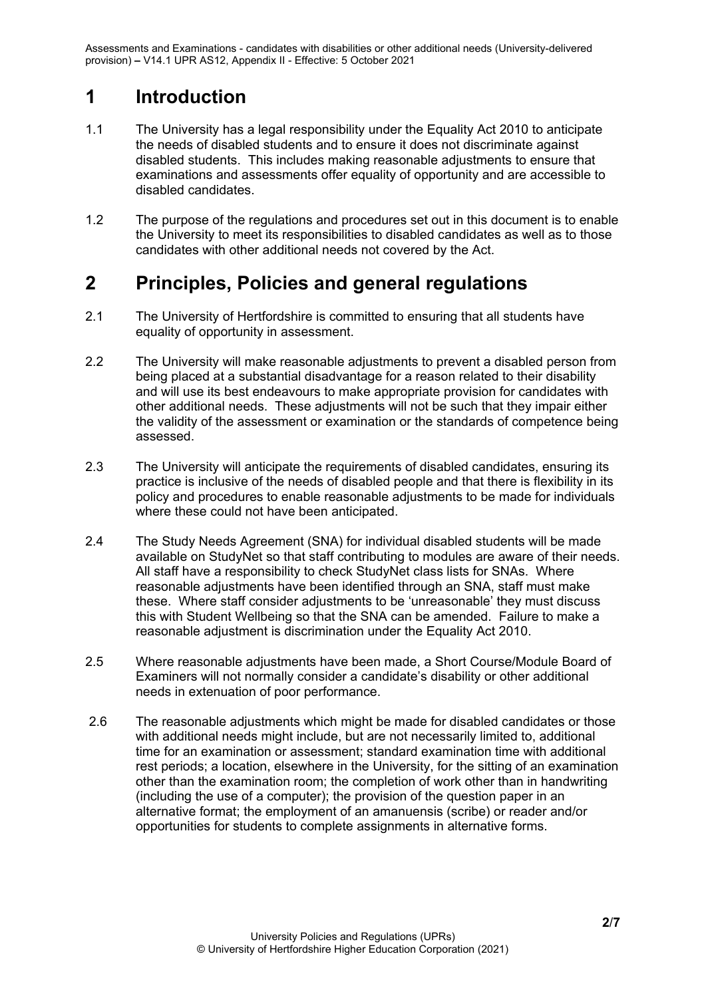# <span id="page-1-0"></span>**1 Introduction**

- 1.1 The University has a legal responsibility under the Equality Act 2010 to anticipate the needs of disabled students and to ensure it does not discriminate against disabled students. This includes making reasonable adjustments to ensure that examinations and assessments offer equality of opportunity and are accessible to disabled candidates.
- 1.2 The purpose of the regulations and procedures set out in this document is to enable the University to meet its responsibilities to disabled candidates as well as to those candidates with other additional needs not covered by the Act.

### <span id="page-1-1"></span>**2 Principles, Policies and general regulations**

- 2.1 The University of Hertfordshire is committed to ensuring that all students have equality of opportunity in assessment.
- 2.2 The University will make reasonable adjustments to prevent a disabled person from being placed at a substantial disadvantage for a reason related to their disability and will use its best endeavours to make appropriate provision for candidates with other additional needs. These adjustments will not be such that they impair either the validity of the assessment or examination or the standards of competence being assessed.
- 2.3 The University will anticipate the requirements of disabled candidates, ensuring its practice is inclusive of the needs of disabled people and that there is flexibility in its policy and procedures to enable reasonable adjustments to be made for individuals where these could not have been anticipated.
- 2.4 The Study Needs Agreement (SNA) for individual disabled students will be made available on StudyNet so that staff contributing to modules are aware of their needs. All staff have a responsibility to check StudyNet class lists for SNAs. Where reasonable adjustments have been identified through an SNA, staff must make these. Where staff consider adjustments to be 'unreasonable' they must discuss this with Student Wellbeing so that the SNA can be amended. Failure to make a reasonable adjustment is discrimination under the Equality Act 2010.
- 2.5 Where reasonable adjustments have been made, a Short Course/Module Board of Examiners will not normally consider a candidate's disability or other additional needs in extenuation of poor performance.
- 2.6 The reasonable adjustments which might be made for disabled candidates or those with additional needs might include, but are not necessarily limited to, additional time for an examination or assessment; standard examination time with additional rest periods; a location, elsewhere in the University, for the sitting of an examination other than the examination room; the completion of work other than in handwriting (including the use of a computer); the provision of the question paper in an alternative format; the employment of an amanuensis (scribe) or reader and/or opportunities for students to complete assignments in alternative forms.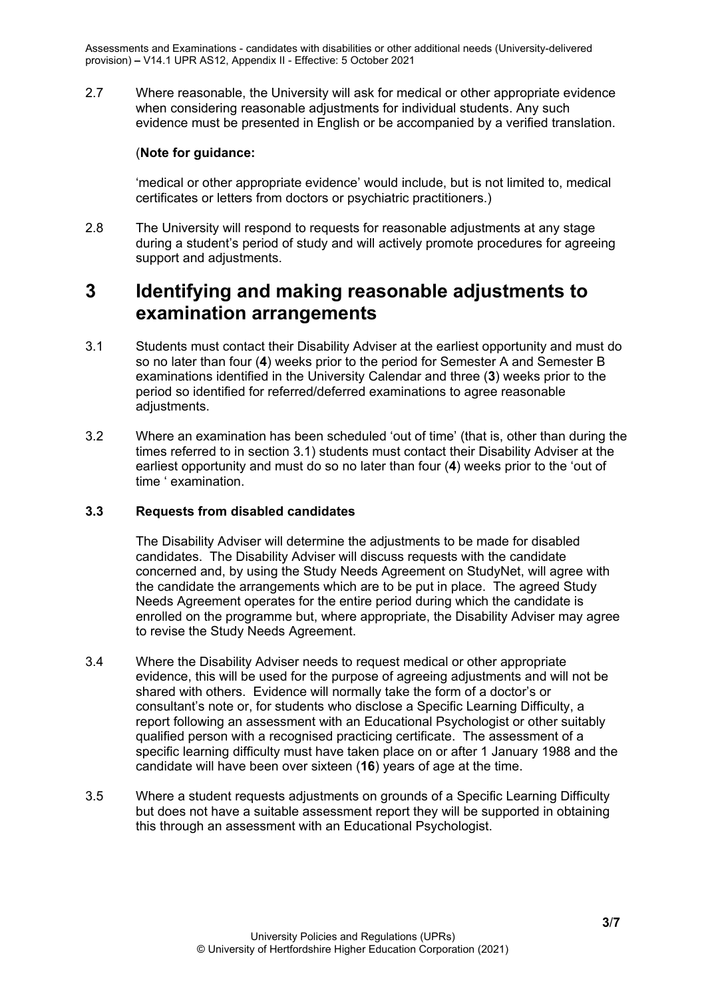2.7 Where reasonable, the University will ask for medical or other appropriate evidence when considering reasonable adjustments for individual students. Any such evidence must be presented in English or be accompanied by a verified translation.

### (**Note for guidance:**

'medical or other appropriate evidence' would include, but is not limited to, medical certificates or letters from doctors or psychiatric practitioners.)

2.8 The University will respond to requests for reasonable adjustments at any stage during a student's period of study and will actively promote procedures for agreeing support and adjustments.

# <span id="page-2-0"></span>**3 Identifying and making reasonable adjustments to examination arrangements**

- 3.1 Students must contact their Disability Adviser at the earliest opportunity and must do so no later than four (**4**) weeks prior to the period for Semester A and Semester B examinations identified in the University Calendar and three (**3**) weeks prior to the period so identified for referred/deferred examinations to agree reasonable adjustments.
- 3.2 Where an examination has been scheduled 'out of time' (that is, other than during the times referred to in section 3.1) students must contact their Disability Adviser at the earliest opportunity and must do so no later than four (**4**) weeks prior to the 'out of time ' examination.

#### <span id="page-2-1"></span>**3.3 Requests from disabled candidates**

The Disability Adviser will determine the adjustments to be made for disabled candidates. The Disability Adviser will discuss requests with the candidate concerned and, by using the Study Needs Agreement on StudyNet, will agree with the candidate the arrangements which are to be put in place. The agreed Study Needs Agreement operates for the entire period during which the candidate is enrolled on the programme but, where appropriate, the Disability Adviser may agree to revise the Study Needs Agreement.

- 3.4 Where the Disability Adviser needs to request medical or other appropriate evidence, this will be used for the purpose of agreeing adjustments and will not be shared with others. Evidence will normally take the form of a doctor's or consultant's note or, for students who disclose a Specific Learning Difficulty, a report following an assessment with an Educational Psychologist or other suitably qualified person with a recognised practicing certificate. The assessment of a specific learning difficulty must have taken place on or after 1 January 1988 and the candidate will have been over sixteen (**16**) years of age at the time.
- 3.5 Where a student requests adjustments on grounds of a Specific Learning Difficulty but does not have a suitable assessment report they will be supported in obtaining this through an assessment with an Educational Psychologist.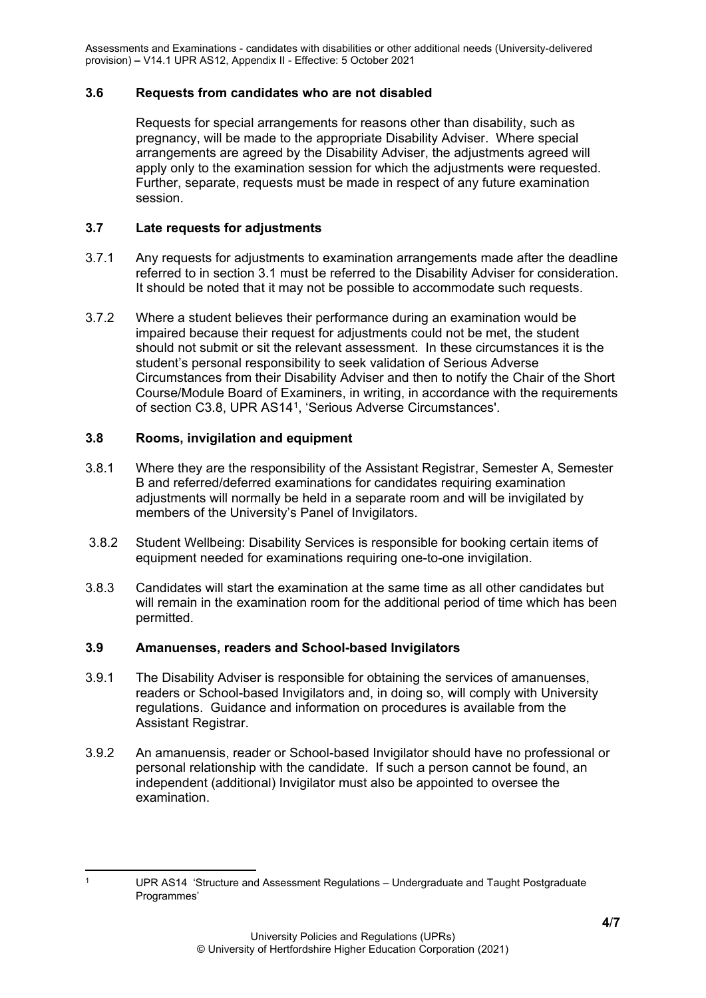#### <span id="page-3-0"></span>**3.6 Requests from candidates who are not disabled**

Requests for special arrangements for reasons other than disability, such as pregnancy, will be made to the appropriate Disability Adviser. Where special arrangements are agreed by the Disability Adviser, the adjustments agreed will apply only to the examination session for which the adjustments were requested. Further, separate, requests must be made in respect of any future examination session.

#### <span id="page-3-1"></span>**3.7 Late requests for adjustments**

- 3.7.1 Any requests for adjustments to examination arrangements made after the deadline referred to in section 3.1 must be referred to the Disability Adviser for consideration. It should be noted that it may not be possible to accommodate such requests.
- 3.7.2 Where a student believes their performance during an examination would be impaired because their request for adjustments could not be met, the student should not submit or sit the relevant assessment. In these circumstances it is the student's personal responsibility to seek validation of Serious Adverse Circumstances from their Disability Adviser and then to notify the Chair of the Short Course/Module Board of Examiners, in writing, in accordance with the requirements of section C3.8, UPR AS14[1,](#page-3-4) 'Serious Adverse Circumstances'.

#### <span id="page-3-2"></span>**3.8 Rooms, invigilation and equipment**

- 3.8.1 Where they are the responsibility of the Assistant Registrar, Semester A, Semester B and referred/deferred examinations for candidates requiring examination adjustments will normally be held in a separate room and will be invigilated by members of the University's Panel of Invigilators.
- 3.8.2 Student Wellbeing: Disability Services is responsible for booking certain items of equipment needed for examinations requiring one-to-one invigilation.
- 3.8.3 Candidates will start the examination at the same time as all other candidates but will remain in the examination room for the additional period of time which has been permitted.

#### <span id="page-3-3"></span>**3.9 Amanuenses, readers and School-based Invigilators**

- 3.9.1 The Disability Adviser is responsible for obtaining the services of amanuenses, readers or School-based Invigilators and, in doing so, will comply with University regulations. Guidance and information on procedures is available from the Assistant Registrar.
- 3.9.2 An amanuensis, reader or School-based Invigilator should have no professional or personal relationship with the candidate. If such a person cannot be found, an independent (additional) Invigilator must also be appointed to oversee the examination.

<span id="page-3-4"></span><sup>1</sup> UPR AS14 'Structure and Assessment Regulations – Undergraduate and Taught Postgraduate Programmes'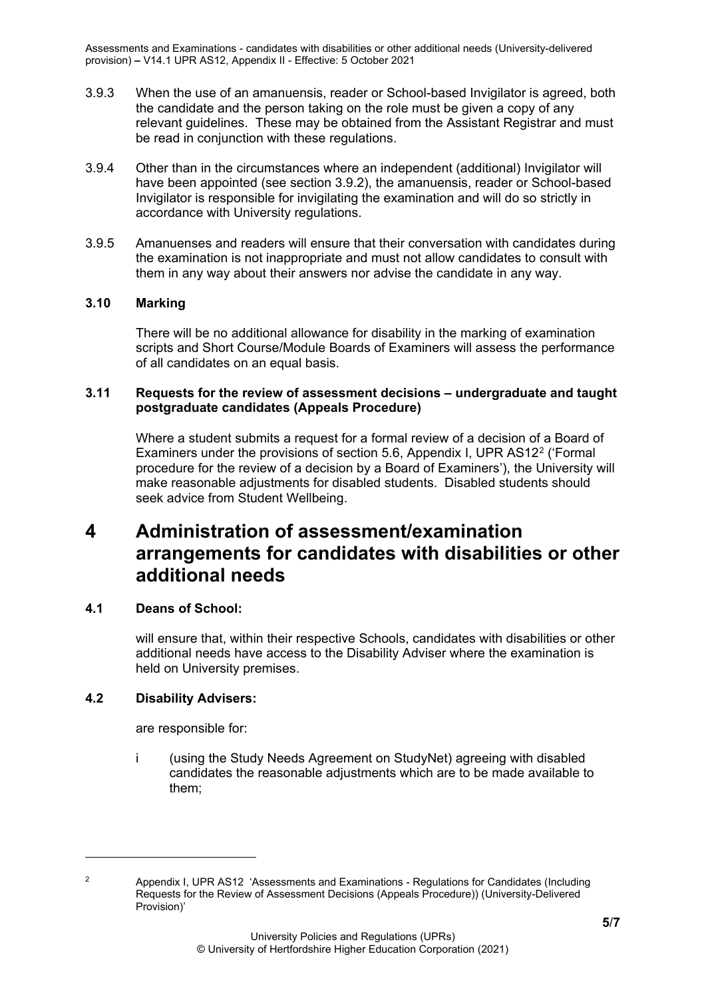- 3.9.3 When the use of an amanuensis, reader or School-based Invigilator is agreed, both the candidate and the person taking on the role must be given a copy of any relevant guidelines. These may be obtained from the Assistant Registrar and must be read in conjunction with these regulations.
- 3.9.4 Other than in the circumstances where an independent (additional) Invigilator will have been appointed (see section 3.9.2), the amanuensis, reader or School-based Invigilator is responsible for invigilating the examination and will do so strictly in accordance with University regulations.
- 3.9.5 Amanuenses and readers will ensure that their conversation with candidates during the examination is not inappropriate and must not allow candidates to consult with them in any way about their answers nor advise the candidate in any way.

#### <span id="page-4-0"></span>**3.10 Marking**

There will be no additional allowance for disability in the marking of examination scripts and Short Course/Module Boards of Examiners will assess the performance of all candidates on an equal basis.

#### <span id="page-4-1"></span>**3.11 Requests for the review of assessment decisions – undergraduate and taught postgraduate candidates (Appeals Procedure)**

Where a student submits a request for a formal review of a decision of a Board of Examiners under the provisions of section 5.6, Appendix I, UPR AS1[2](#page-4-5)<sup>2</sup> ('Formal procedure for the review of a decision by a Board of Examiners'), the University will make reasonable adjustments for disabled students. Disabled students should seek advice from Student Wellbeing.

# <span id="page-4-2"></span>**4 Administration of assessment/examination arrangements for candidates with disabilities or other additional needs**

#### <span id="page-4-3"></span>**4.1 Deans of School:**

will ensure that, within their respective Schools, candidates with disabilities or other additional needs have access to the Disability Adviser where the examination is held on University premises.

#### <span id="page-4-4"></span>**4.2 Disability Advisers:**

are responsible for:

i (using the Study Needs Agreement on StudyNet) agreeing with disabled candidates the reasonable adjustments which are to be made available to them;

<span id="page-4-5"></span>

<sup>2</sup> Appendix I, UPR AS12 'Assessments and Examinations - Regulations for Candidates (Including Requests for the Review of Assessment Decisions (Appeals Procedure)) (University-Delivered Provision)'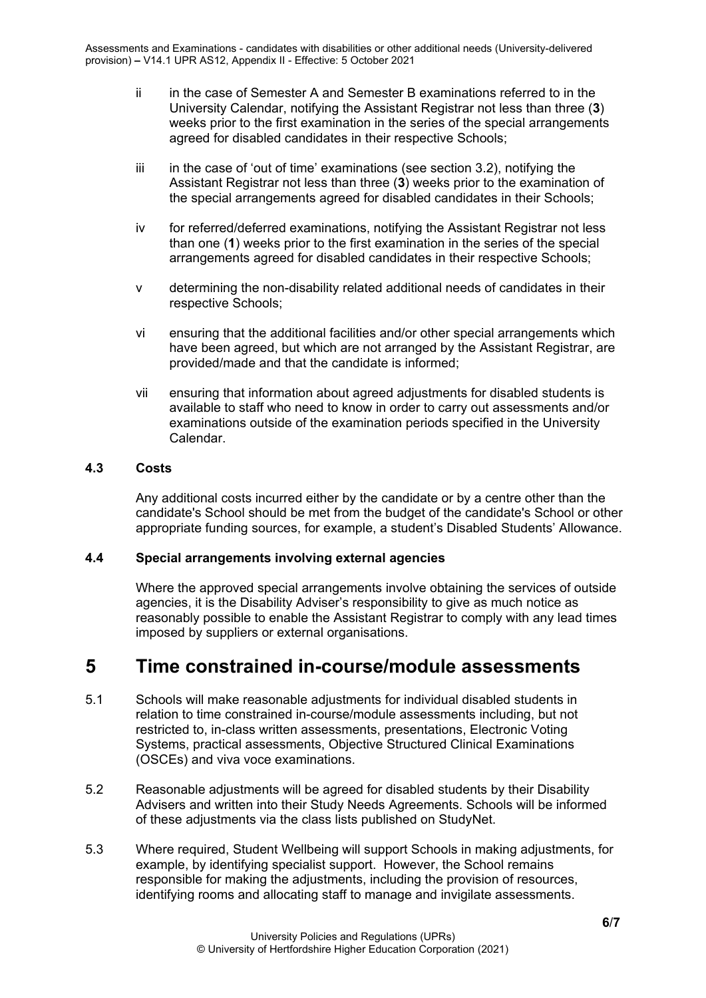- ii in the case of Semester A and Semester B examinations referred to in the University Calendar, notifying the Assistant Registrar not less than three (**3**) weeks prior to the first examination in the series of the special arrangements agreed for disabled candidates in their respective Schools;
- iii in the case of 'out of time' examinations (see section 3.2), notifying the Assistant Registrar not less than three (**3**) weeks prior to the examination of the special arrangements agreed for disabled candidates in their Schools;
- iv for referred/deferred examinations, notifying the Assistant Registrar not less than one (**1**) weeks prior to the first examination in the series of the special arrangements agreed for disabled candidates in their respective Schools;
- v determining the non-disability related additional needs of candidates in their respective Schools;
- vi ensuring that the additional facilities and/or other special arrangements which have been agreed, but which are not arranged by the Assistant Registrar, are provided/made and that the candidate is informed;
- vii ensuring that information about agreed adjustments for disabled students is available to staff who need to know in order to carry out assessments and/or examinations outside of the examination periods specified in the University Calendar.

### <span id="page-5-0"></span>**4.3 Costs**

Any additional costs incurred either by the candidate or by a centre other than the candidate's School should be met from the budget of the candidate's School or other appropriate funding sources, for example, a student's Disabled Students' Allowance.

#### <span id="page-5-1"></span>**4.4 Special arrangements involving external agencies**

Where the approved special arrangements involve obtaining the services of outside agencies, it is the Disability Adviser's responsibility to give as much notice as reasonably possible to enable the Assistant Registrar to comply with any lead times imposed by suppliers or external organisations.

### <span id="page-5-2"></span>**5 Time constrained in-course/module assessments**

- 5.1 Schools will make reasonable adjustments for individual disabled students in relation to time constrained in-course/module assessments including, but not restricted to, in-class written assessments, presentations, Electronic Voting Systems, practical assessments, Objective Structured Clinical Examinations (OSCEs) and viva voce examinations.
- 5.2 Reasonable adjustments will be agreed for disabled students by their Disability Advisers and written into their Study Needs Agreements. Schools will be informed of these adjustments via the class lists published on StudyNet.
- 5.3 Where required, Student Wellbeing will support Schools in making adjustments, for example, by identifying specialist support. However, the School remains responsible for making the adjustments, including the provision of resources, identifying rooms and allocating staff to manage and invigilate assessments.